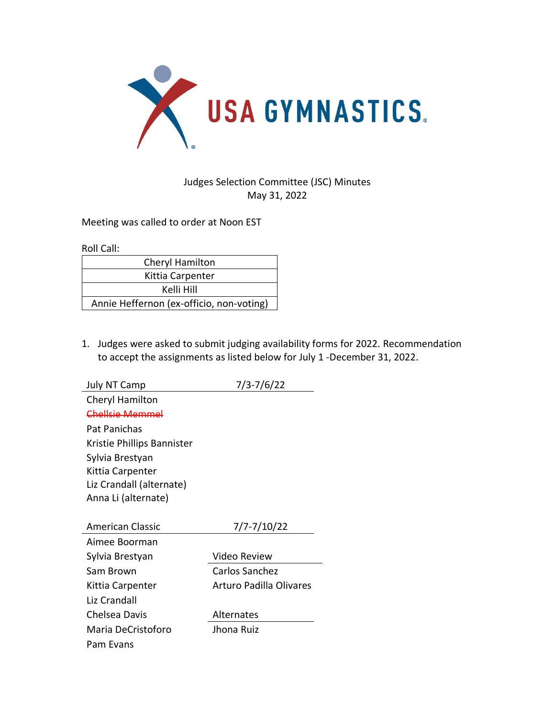

## Judges Selection Committee (JSC) Minutes May 31, 2022

Meeting was called to order at Noon EST

Roll Call:

| Cheryl Hamilton                          |  |  |
|------------------------------------------|--|--|
| Kittia Carpenter                         |  |  |
| Kelli Hill                               |  |  |
| Annie Heffernon (ex-officio, non-voting) |  |  |

1. Judges were asked to submit judging availability forms for 2022. Recommendation to accept the assignments as listed below for July 1 -December 31, 2022.

| <b>July NT Camp</b>        | 7/3-7/6/22              |
|----------------------------|-------------------------|
| Cheryl Hamilton            |                         |
| Chellsie Memmel            |                         |
| Pat Panichas               |                         |
| Kristie Phillips Bannister |                         |
| Sylvia Brestyan            |                         |
| Kittia Carpenter           |                         |
| Liz Crandall (alternate)   |                         |
| Anna Li (alternate)        |                         |
|                            |                         |
| American Classic           | 7/7-7/10/22             |
| Aimee Boorman              |                         |
| Sylvia Brestyan            | Video Review            |
| Sam Brown                  | Carlos Sanchez          |
| Kittia Carpenter           | Arturo Padilla Olivares |
| Liz Crandall               |                         |
| Chelsea Davis              | Alternates              |
| Maria DeCristoforo         | Jhona Ruiz              |
| Pam Evans                  |                         |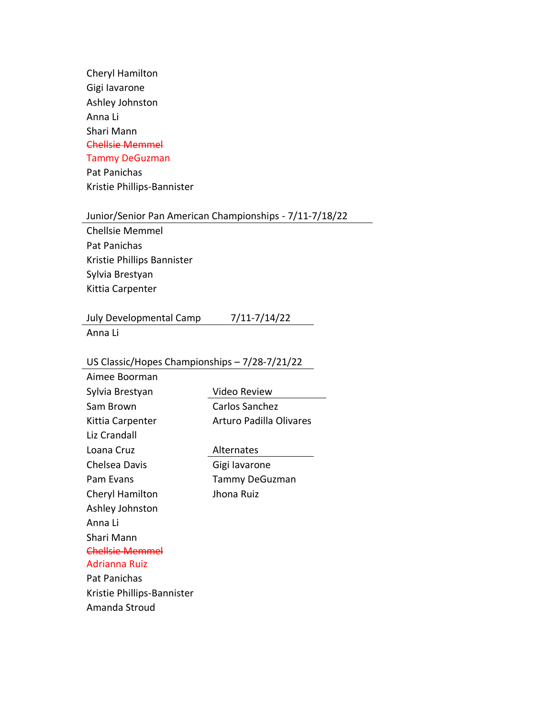Cheryl Hamilton Gigi Iavarone Ashley Johnston Anna Li Shari Mann Chellsie Memmel Tammy DeGuzman Pat Panichas

Kristie Phillips-Bannister

## Junior/Senior Pan American Championships - 7/11-7/18/22

Chellsie Memmel Pat Panichas Kristie Phillips Bannister Sylvia Brestyan Kittia Carpenter

## July Developmental Camp 7/11-7/14/22

Anna Li

## US Classic/Hopes Championships – 7/28-7/21/22

| Aimee Boorman              |                         |
|----------------------------|-------------------------|
| Sylvia Brestyan            | Video Review            |
| Sam Brown                  | Carlos Sanchez          |
| Kittia Carpenter           | Arturo Padilla Olivares |
| Liz Crandall               |                         |
| Loana Cruz                 | Alternates              |
| Chelsea Davis              | Gigi lavarone           |
| Pam Evans                  | <b>Tammy DeGuzman</b>   |
| Cheryl Hamilton            | Jhona Ruiz              |
| Ashley Johnston            |                         |
| Anna Li                    |                         |
| Shari Mann                 |                         |
| Chellsie Memmel            |                         |
| Adrianna Ruiz              |                         |
| Pat Panichas               |                         |
| Kristie Phillips-Bannister |                         |
| Amanda Stroud              |                         |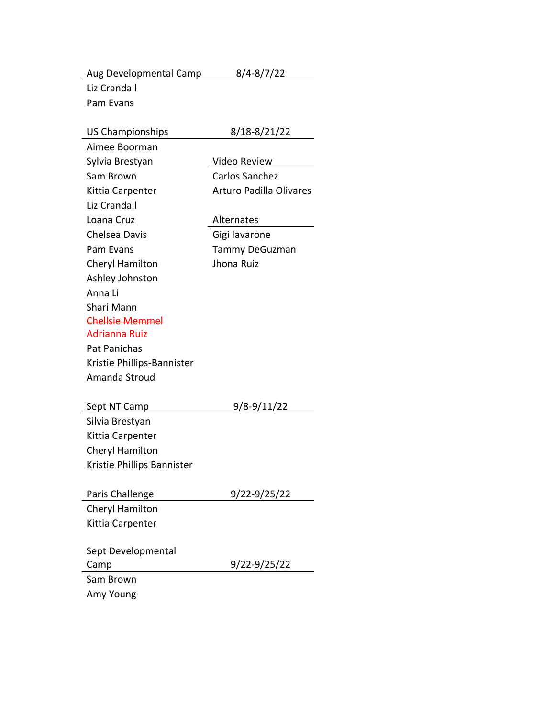| Aug Developmental Camp     | $8/4 - 8/7/22$                 |
|----------------------------|--------------------------------|
| Liz Crandall               |                                |
| Pam Evans                  |                                |
|                            |                                |
| <b>US Championships</b>    | 8/18-8/21/22                   |
| Aimee Boorman              |                                |
| Sylvia Brestyan            | Video Review                   |
| Sam Brown                  | Carlos Sanchez                 |
| Kittia Carpenter           | <b>Arturo Padilla Olivares</b> |
| Liz Crandall               |                                |
| Loana Cruz                 | Alternates                     |
| Chelsea Davis              | Gigi lavarone                  |
| Pam Evans                  | <b>Tammy DeGuzman</b>          |
| Cheryl Hamilton            | Jhona Ruiz                     |
| Ashley Johnston            |                                |
| Anna Li                    |                                |
| Shari Mann                 |                                |
| <b>Chellsie Memmel</b>     |                                |
| <b>Adrianna Ruiz</b>       |                                |
| Pat Panichas               |                                |
| Kristie Phillips-Bannister |                                |
| Amanda Stroud              |                                |
| Sept NT Camp               | 9/8-9/11/22                    |
| Silvia Brestyan            |                                |
| Kittia Carpenter           |                                |
| Cheryl Hamilton            |                                |
| Kristie Phillips Bannister |                                |
|                            |                                |
| Paris Challenge            | 9/22-9/25/22                   |
| Cheryl Hamilton            |                                |
| Kittia Carpenter           |                                |
|                            |                                |
| Sept Developmental         |                                |
| Camp                       | 9/22-9/25/22                   |
| Sam Brown                  |                                |
| Amy Young                  |                                |